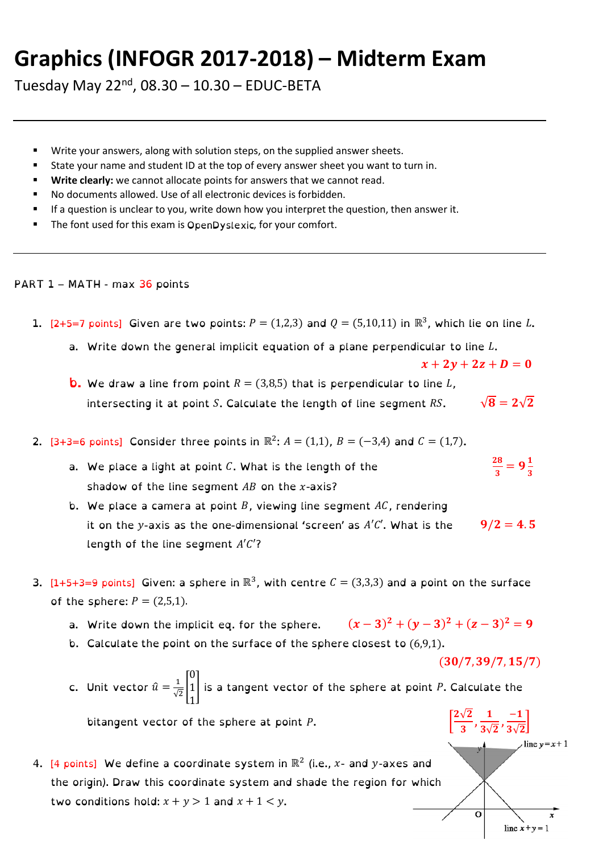## **Graphics (INFOGR 2017-2018) – Midterm Exam**

Tuesday May 22<sup>nd</sup>, 08.30 – 10.30 – EDUC-BETA

- Write your answers, along with solution steps, on the supplied answer sheets.
- State your name and student ID at the top of every answer sheet you want to turn in.
- Write clearly: we cannot allocate points for answers that we cannot read.
- No documents allowed. Use of all electronic devices is forbidden.
- If a question is unclear to you, write down how you interpret the question, then answer it.
- The font used for this exam is OpenDyslexic, for your comfort.

## PART 1 - MATH - max 36 points

- 1. [2+5=7 points] Given are two points:  $P = (1,2,3)$  and  $Q = (5,10,11)$  in  $\mathbb{R}^3$ , which lie on line L.
	- a. Write down the general implicit equation of a plane perpendicular to line L.

 $x + 2y + 2z + D = 0$ 

- **b.** We draw a line from point  $R = (3,8,5)$  that is perpendicular to line L, intersecting it at point S. Calculate the length of line segment RS.  $\sqrt{8} = 2\sqrt{2}$
- 2.  $[3+3=6 \text{ points}]$  Consider three points in  $\mathbb{R}^2$ :  $A = (1,1)$ ,  $B = (-3,4)$  and  $C = (1,7)$ .
	- a. We place a light at point  $C$ . What is the length of the 28  $\frac{28}{3}$  = 9 $\frac{1}{3}$ 3 shadow of the line segment  $AB$  on the x-axis?
	- b. We place a camera at point B, viewing line segment  $AC$ , rendering it on the y-axis as the one-dimensional 'screen' as  $A'C'$ . What is the  $9/2 = 4.5$ length of the line segment  $A'C'$ ?
- 3.  $[1+5+3=9 \text{ points}]$  Given: a sphere in  $\mathbb{R}^3$ , with centre  $C = (3,3,3)$  and a point on the surface of the sphere:  $P = (2,5,1)$ .
	- $(x-3)^2 + (y-3)^2 + (z-3)^2 = 9$
	- b. Calculate the point on the surface of the sphere closest to  $(6,9,1)$ .

 $(30/7, 39/7, 15/7)$ 

 $\frac{1}{3\sqrt{2}}, \frac{-1}{3\sqrt{2}}$  $3\sqrt{2}$ ]

line  $y=x+1$ 

line  $x+y=1$ 

 $2\sqrt{2}$  $\frac{\sqrt{2}}{3}, \frac{1}{3\sqrt{}}$ 

 $\overline{\Omega}$ 

c. Unit vector 
$$
\hat{u} = \frac{1}{\sqrt{2}} \begin{bmatrix} 0 \\ 1 \\ 1 \end{bmatrix}
$$
 is a tangent vector of the sphere at point *P*. Calculate the

 $\overline{P}$ .

4. [4 points] We define a coordinate system in  $\mathbb{R}^2$  (i.e., x- and y-axes and the origin). Draw this coordinate system and shade the region for which two conditions hold:  $x + y > 1$  and  $x + 1 < y$ .